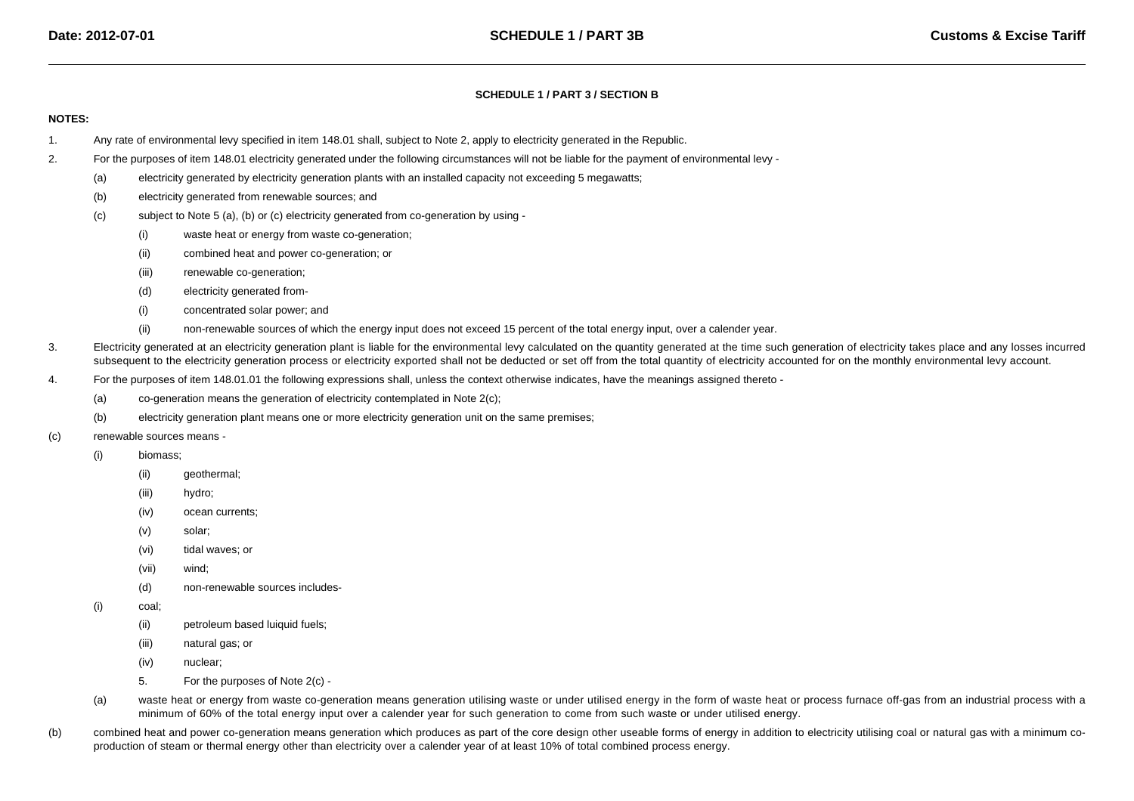## **SCHEDULE 1 / PART 3 / SECTION B**

## **NOTES:**

- 1.Any rate of environmental levy specified in item 148.01 shall, subject to Note 2, apply to electricity generated in the Republic.
- 2. For the purposes of item 148.01 electricity generated under the following circumstances will not be liable for the payment of environmental levy -
	- (a)electricity generated by electricity generation plants with an installed capacity not exceeding 5 megawatts;
	- (b)electricity generated from renewable sources; and
	- (c) subject to Note 5 (a), (b) or (c) electricity generated from co-generation by using -
		- (i)waste heat or energy from waste co-generation;
		- (ii)combined heat and power co-generation; or
		- (iii)renewable co-generation;
		- (d)electricity generated from-
		- (i)concentrated solar power; and
		- (ii)non-renewable sources of which the energy input does not exceed 15 percent of the total energy input, over a calender year.
- 3.Electricity generated at an electricity generation plant is liable for the environmental levy calculated on the quantity generated at the time such generation of electricity takes place and any losses incurred subsequent to the electricity generation process or electricity exported shall not be deducted or set off from the total quantity of electricity accounted for on the monthly environmental levy account.
- 4. For the purposes of item 148.01.01 the following expressions shall, unless the context otherwise indicates, have the meanings assigned thereto -
	- (a)co-generation means the generation of electricity contemplated in Note 2(c);
	- (b)electricity generation plant means one or more electricity generation unit on the same premises;
- (c) renewable sources means -
	- (i) biomass;
		- (ii)geothermal;
		- (iii)hydro;
		- (iv)ocean currents;
		- (v)solar;
		- (vi)tidal waves; or
		- (vii)wind;
		- (d)non-renewable sources includes-
	- (i) coal;
		- (ii)petroleum based luiquid fuels;
		- (iii)natural gas; or
		- (iv)nuclear;
		- 5.For the purposes of Note 2(c) -
	- (a)waste heat or energy from waste co-generation means generation utilising waste or under utilised energy in the form of waste heat or process furnace off-gas from an industrial process with a minimum of 60% of the total energy input over a calender year for such generation to come from such waste or under utilised energy.
- (b)combined heat and power co-generation means generation which produces as part of the core design other useable forms of energy in addition to electricity utilising coal or natural gas with a minimum coproduction of steam or thermal energy other than electricity over a calender year of at least 10% of total combined process energy.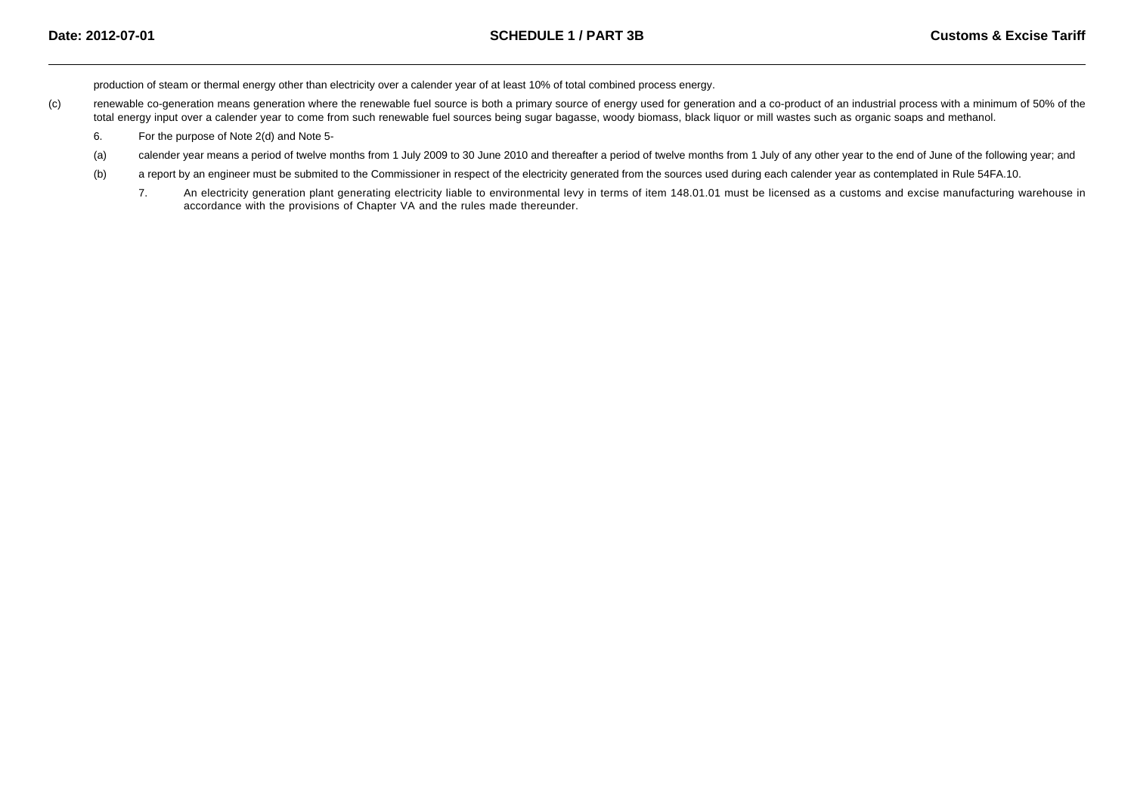production of steam or thermal energy other than electricity over a calender year of at least 10% of total combined process energy.

- (c)renewable co-generation means generation where the renewable fuel source is both a primary source of energy used for generation and a co-product of an industrial process with a minimum of 50% of the total energy input over a calender year to come from such renewable fuel sources being sugar bagasse, woody biomass, black liquor or mill wastes such as organic soaps and methanol.
	- 6.For the purpose of Note 2(d) and Note 5-
	- (a)calender year means a period of twelve months from 1 July 2009 to 30 June 2010 and thereafter a period of twelve months from 1 July of any other year to the end of June of the following year; and
	- (b)a report by an engineer must be submited to the Commissioner in respect of the electricity generated from the sources used during each calender year as contemplated in Rule 54FA.10.
		- 7. An electricity generation plant generating electricity liable to environmental levy in terms of item 148.01.01 must be licensed as a customs and excise manufacturing warehouse inaccordance with the provisions of Chapter VA and the rules made thereunder.